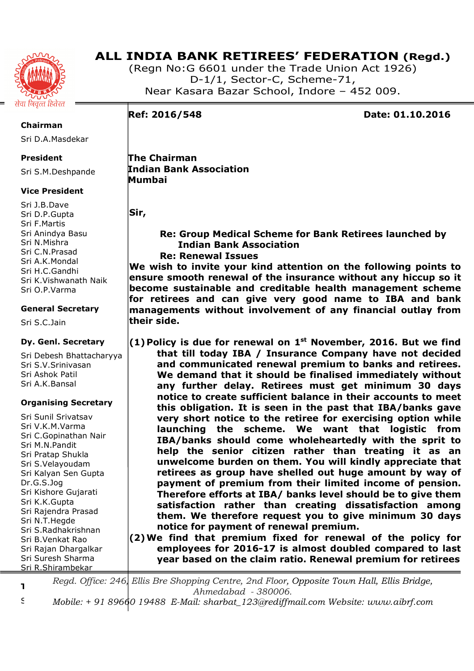

(Regn No:G 6601 under the Trade Union Act 1926) D-1/1, Sector-C, Scheme-71, Near Kasara Bazar School, Indore – 452 009.

**Ref: 2016/548 Date: 01.10.2016** 

**Chairman** 

Sri D.A.Masdekar

## **President**

Sri S.M.Deshpande

## **Vice President**

Sri J.B.Dave Sri D.P.Gupta Sri F.Martis Sri Anindya Basu Sri N.Mishra Sri C.N.Prasad Sri A.K.Mondal Sri H.C.Gandhi Sri K.Vishwanath Naik Sri O.P.Varma

## **General Secretary**

Sri S.C.Jain

## **Dy. Genl. Secretary**

Sri Debesh Bhattacharyya Sri S.V.Srinivasan Sri Ashok Patil Sri A.K.Bansal

#### **Organising Secretary**

Sri Sunil Srivatsav Sri V.K.M.Varma Sri C.Gopinathan Nair Sri M.N.Pandit Sri Pratap Shukla Sri S.Velayoudam Sri Kalyan Sen Gupta Dr.G.S.Jog Sri Kishore Gujarati Sri K.K.Gupta Sri Rajendra Prasad Sri N.T.Hegde Sri S.Radhakrishnan Sri B.Venkat Rao Sri Rajan Dhargalkar Sri Suresh Sharma Sri R.Shirambekar

 **The Chairman Indian Bank Association Mumbai** 

**Sir,** 

## **Re: Group Medical Scheme for Bank Retirees launched by Indian Bank Association Re: Renewal Issues**

**We wish to invite your kind attention on the following points to ensure smooth renewal of the insurance without any hiccup so it become sustainable and creditable health management scheme for retirees and can give very good name to IBA and bank managements without involvement of any financial outlay from their side.** 

**(1) Policy is due for renewal on 1st November, 2016. But we find that till today IBA / Insurance Company have not decided and communicated renewal premium to banks and retirees. We demand that it should be finalised immediately without any further delay. Retirees must get minimum 30 days notice to create sufficient balance in their accounts to meet this obligation. It is seen in the past that IBA/banks gave very short notice to the retiree for exercising option while launching the scheme. We want that logistic from IBA/banks should come wholeheartedly with the sprit to help the senior citizen rather than treating it as an unwelcome burden on them. You will kindly appreciate that retirees as group have shelled out huge amount by way of payment of premium from their limited income of pension. Therefore efforts at IBA/ banks level should be to give them satisfaction rather than creating dissatisfaction among them. We therefore request you to give minimum 30 days notice for payment of renewal premium.** 

**(2)We find that premium fixed for renewal of the policy for employees for 2016-17 is almost doubled compared to last year based on the claim ratio. Renewal premium for retirees** 

**Treasurer**  *Regd. Office: 246, Ellis Bre Shopping Centre, 2nd Floor, Opposite Town Hall, Ellis Bridge, Ahmedabad - 380006.* 

Sri M.S.Chourey *Mobile: + 91 89660 19488 E-Mail: sharbat\_123@rediffmail.com Website: www.aibrf.com*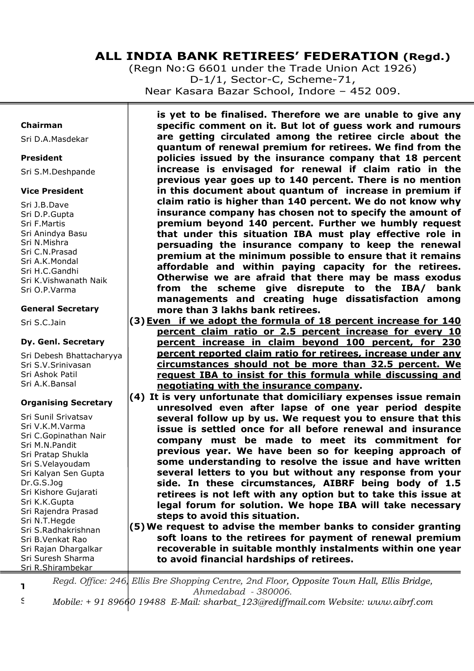(Regn No:G 6601 under the Trade Union Act 1926) D-1/1, Sector-C, Scheme-71, Near Kasara Bazar School, Indore – 452 009.

### **Chairman**

Sri D.A.Masdekar

### **President**

Sri S.M.Deshpande

## **Vice President**

Sri J.B.Dave Sri D.P.Gupta Sri F.Martis Sri Anindya Basu Sri N.Mishra Sri C.N.Prasad Sri A.K.Mondal Sri H.C.Gandhi Sri K.Vishwanath Naik Sri O.P.Varma

## **General Secretary**

Sri S.C.Jain

## **Dy. Genl. Secretary**

Sri Debesh Bhattacharyya Sri S.V.Srinivasan Sri Ashok Patil Sri A.K.Bansal

## **Organising Secretary**

Sri Sunil Srivatsav Sri V.K.M.Varma Sri C.Gopinathan Nair Sri M.N.Pandit Sri Pratap Shukla Sri S.Velayoudam Sri Kalyan Sen Gupta Dr.G.S.Jog Sri Kishore Gujarati Sri K.K.Gupta Sri Rajendra Prasad Sri N.T.Hegde Sri S.Radhakrishnan Sri B.Venkat Rao Sri Rajan Dhargalkar Sri Suresh Sharma Sri R.Shirambekar

**is yet to be finalised. Therefore we are unable to give any specific comment on it. But lot of guess work and rumours are getting circulated among the retiree circle about the quantum of renewal premium for retirees. We find from the policies issued by the insurance company that 18 percent increase is envisaged for renewal if claim ratio in the previous year goes up to 140 percent. There is no mention in this document about quantum of increase in premium if claim ratio is higher than 140 percent. We do not know why insurance company has chosen not to specify the amount of premium beyond 140 percent. Further we humbly request that under this situation IBA must play effective role in persuading the insurance company to keep the renewal premium at the minimum possible to ensure that it remains affordable and within paying capacity for the retirees. Otherwise we are afraid that there may be mass exodus from the scheme give disrepute to the IBA/ bank managements and creating huge dissatisfaction among more than 3 lakhs bank retirees.** 

- **(3)Even if we adopt the formula of 18 percent increase for 140 percent claim ratio or 2.5 percent increase for every 10 percent increase in claim beyond 100 percent, for 230 percent reported claim ratio for retirees, increase under any circumstances should not be more than 32.5 percent. We request IBA to insist for this formula while discussing and negotiating with the insurance company.**
- **(4) It is very unfortunate that domiciliary expenses issue remain unresolved even after lapse of one year period despite several follow up by us. We request you to ensure that this issue is settled once for all before renewal and insurance company must be made to meet its commitment for previous year. We have been so for keeping approach of some understanding to resolve the issue and have written several letters to you but without any response from your side. In these circumstances, AIBRF being body of 1.5 retirees is not left with any option but to take this issue at legal forum for solution. We hope IBA will take necessary steps to avoid this situation.**
- **(5)We request to advise the member banks to consider granting soft loans to the retirees for payment of renewal premium recoverable in suitable monthly instalments within one year to avoid financial hardships of retirees.**

**Treasurer**  *Regd. Office: 246, Ellis Bre Shopping Centre, 2nd Floor, Opposite Town Hall, Ellis Bridge, Ahmedabad - 380006.* 

Sri M.S.Chourey *Mobile: + 91 89660 19488 E-Mail: sharbat\_123@rediffmail.com Website: www.aibrf.com*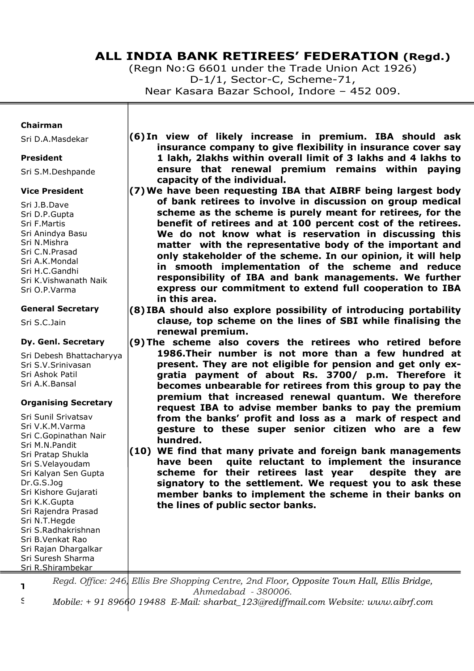(Regn No:G 6601 under the Trade Union Act 1926) D-1/1, Sector-C, Scheme-71, Near Kasara Bazar School, Indore – 452 009.

#### **Chairman**

Sri D.A.Masdekar

#### **President**

Sri S.M.Deshpande

#### **Vice President**

Sri J.B.Dave Sri D.P.Gupta Sri F.Martis Sri Anindya Basu Sri N.Mishra Sri C.N.Prasad Sri A.K.Mondal Sri H.C.Gandhi Sri K.Vishwanath Naik Sri O.P.Varma

#### **General Secretary**

Sri S.C.Jain

#### **Dy. Genl. Secretary**

Sri Debesh Bhattacharyya Sri S.V.Srinivasan Sri Ashok Patil Sri A.K.Bansal

#### **Organising Secretary**

Sri Sunil Srivatsav Sri V.K.M.Varma Sri C.Gopinathan Nair Sri M.N.Pandit Sri Pratap Shukla Sri S.Velayoudam Sri Kalyan Sen Gupta Dr.G.S.Jog Sri Kishore Gujarati Sri K.K.Gupta Sri Rajendra Prasad Sri N.T.Hegde Sri S.Radhakrishnan Sri B.Venkat Rao Sri Rajan Dhargalkar Sri Suresh Sharma Sri R.Shirambekar

- **(6) In view of likely increase in premium. IBA should ask insurance company to give flexibility in insurance cover say 1 lakh, 2lakhs within overall limit of 3 lakhs and 4 lakhs to ensure that renewal premium remains within paying capacity of the individual.**
- **(7)We have been requesting IBA that AIBRF being largest body of bank retirees to involve in discussion on group medical scheme as the scheme is purely meant for retirees, for the benefit of retirees and at 100 percent cost of the retirees. We do not know what is reservation in discussing this matter with the representative body of the important and only stakeholder of the scheme. In our opinion, it will help in smooth implementation of the scheme and reduce responsibility of IBA and bank managements. We further express our commitment to extend full cooperation to IBA in this area.**
- **(8) IBA should also explore possibility of introducing portability clause, top scheme on the lines of SBI while finalising the renewal premium.**
- **(9)The scheme also covers the retirees who retired before 1986.Their number is not more than a few hundred at present. They are not eligible for pension and get only exgratia payment of about Rs. 3700/ p.m. Therefore it becomes unbearable for retirees from this group to pay the premium that increased renewal quantum. We therefore request IBA to advise member banks to pay the premium from the banks' profit and loss as a mark of respect and gesture to these super senior citizen who are a few hundred.**
- **(10) WE find that many private and foreign bank managements have been quite reluctant to implement the insurance scheme for their retirees last year despite they are signatory to the settlement. We request you to ask these member banks to implement the scheme in their banks on the lines of public sector banks.**

**Treasurer**  *Regd. Office: 246, Ellis Bre Shopping Centre, 2nd Floor, Opposite Town Hall, Ellis Bridge, Ahmedabad - 380006.* 

Sri M.S.Chourey *Mobile: + 91 89660 19488 E-Mail: sharbat\_123@rediffmail.com Website: www.aibrf.com*